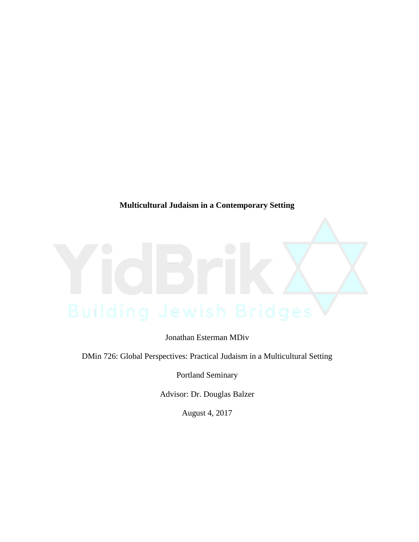**Multicultural Judaism in a Contemporary Setting**

Jonathan Esterman MDiv

DMin 726: Global Perspectives: Practical Judaism in a Multicultural Setting

Portland Seminary

Advisor: Dr. Douglas Balzer

August 4, 2017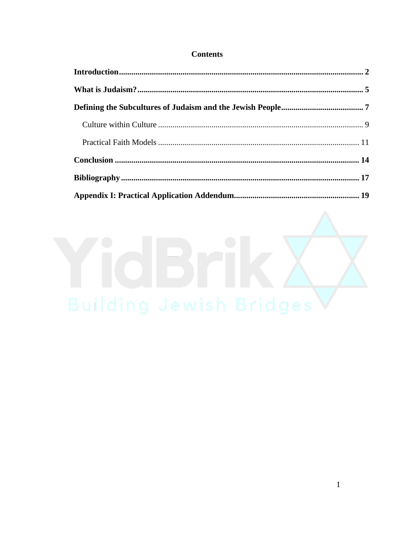## **Contents**

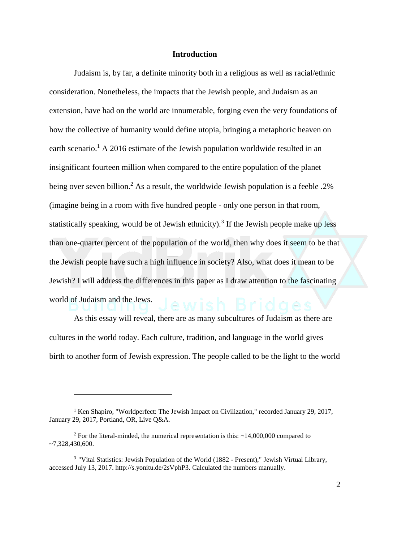#### **Introduction**

Judaism is, by far, a definite minority both in a religious as well as racial/ethnic consideration. Nonetheless, the impacts that the Jewish people, and Judaism as an extension, have had on the world are innumerable, forging even the very foundations of how the collective of humanity would define utopia, bringing a metaphoric heaven on earth scenario.<sup>1</sup> A 2016 estimate of the Jewish population worldwide resulted in an insignificant fourteen million when compared to the entire population of the planet being over seven billion.<sup>2</sup> As a result, the worldwide Jewish population is a feeble .2% (imagine being in a room with five hundred people - only one person in that room, statistically speaking, would be of Jewish ethnicity).<sup>3</sup> If the Jewish people make up less than one-quarter percent of the population of the world, then why does it seem to be that the Jewish people have such a high influence in society? Also, what does it mean to be Jewish? I will address the differences in this paper as I draw attention to the fascinating world of Judaism and the Jews.

As this essay will reveal, there are as many subcultures of Judaism as there are cultures in the world today. Each culture, tradition, and language in the world gives birth to another form of Jewish expression. The people called to be the light to the world

<sup>&</sup>lt;sup>1</sup> Ken Shapiro, "Worldperfect: The Jewish Impact on Civilization," recorded January 29, 2017, January 29, 2017, Portland, OR, Live Q&A.

<sup>&</sup>lt;sup>2</sup> For the literal-minded, the numerical representation is this:  $\sim$  14,000,000 compared to ~7,328,430,600.

<sup>&</sup>lt;sup>3</sup> "Vital Statistics: Jewish Population of the World (1882 - Present)," Jewish Virtual Library, accessed July 13, 2017. http://s.yonitu.de/2sVphP3. Calculated the numbers manually.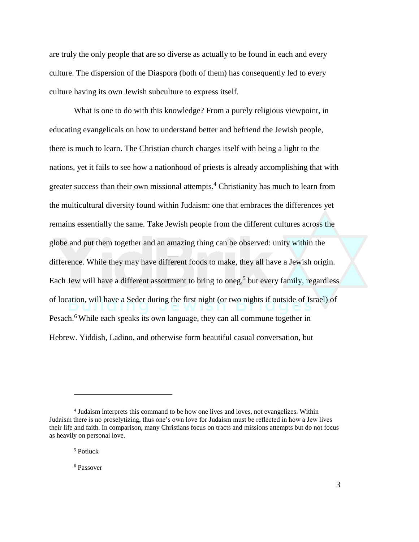are truly the only people that are so diverse as actually to be found in each and every culture. The dispersion of the Diaspora (both of them) has consequently led to every culture having its own Jewish subculture to express itself.

What is one to do with this knowledge? From a purely religious viewpoint, in educating evangelicals on how to understand better and befriend the Jewish people, there is much to learn. The Christian church charges itself with being a light to the nations, yet it fails to see how a nationhood of priests is already accomplishing that with greater success than their own missional attempts.<sup>4</sup> Christianity has much to learn from the multicultural diversity found within Judaism: one that embraces the differences yet remains essentially the same. Take Jewish people from the different cultures across the globe and put them together and an amazing thing can be observed: unity within the difference. While they may have different foods to make, they all have a Jewish origin. Each Jew will have a different assortment to bring to oneg, 5 but every family, regardless of location, will have a Seder during the first night (or two nights if outside of Israel) of Pesach.<sup>6</sup> While each speaks its own language, they can all commune together in Hebrew. Yiddish, Ladino, and otherwise form beautiful casual conversation, but

 $\overline{a}$ 

<sup>6</sup> Passover

<sup>&</sup>lt;sup>4</sup> Judaism interprets this command to be how one lives and loves, not evangelizes. Within Judaism there is no proselytizing, thus one's own love for Judaism must be reflected in how a Jew lives their life and faith. In comparison, many Christians focus on tracts and missions attempts but do not focus as heavily on personal love.

<sup>5</sup> Potluck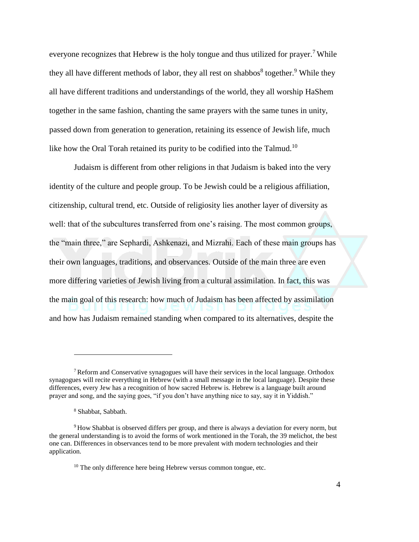everyone recognizes that Hebrew is the holy tongue and thus utilized for prayer.<sup>7</sup> While they all have different methods of labor, they all rest on shabbos<sup>8</sup> together.<sup>9</sup> While they all have different traditions and understandings of the world, they all worship HaShem together in the same fashion, chanting the same prayers with the same tunes in unity, passed down from generation to generation, retaining its essence of Jewish life, much like how the Oral Torah retained its purity to be codified into the Talmud.<sup>10</sup>

Judaism is different from other religions in that Judaism is baked into the very identity of the culture and people group. To be Jewish could be a religious affiliation, citizenship, cultural trend, etc. Outside of religiosity lies another layer of diversity as well: that of the subcultures transferred from one's raising. The most common groups, the "main three," are Sephardi, Ashkenazi, and Mizrahi. Each of these main groups has their own languages, traditions, and observances. Outside of the main three are even more differing varieties of Jewish living from a cultural assimilation. In fact, this was the main goal of this research: how much of Judaism has been affected by assimilation and how has Judaism remained standing when compared to its alternatives, despite the

<sup>&</sup>lt;sup>7</sup> Reform and Conservative synagogues will have their services in the local language. Orthodox synagogues will recite everything in Hebrew (with a small message in the local language). Despite these differences, every Jew has a recognition of how sacred Hebrew is. Hebrew is a language built around prayer and song, and the saying goes, "if you don't have anything nice to say, say it in Yiddish."

<sup>8</sup> Shabbat, Sabbath.

<sup>9</sup> How Shabbat is observed differs per group, and there is always a deviation for every norm, but the general understanding is to avoid the forms of work mentioned in the Torah, the 39 melichot, the best one can. Differences in observances tend to be more prevalent with modern technologies and their application.

 $10$  The only difference here being Hebrew versus common tongue, etc.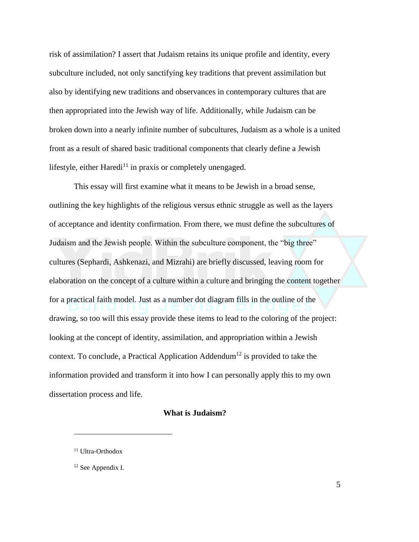risk of assimilation? I assert that Judaism retains its unique profile and identity, every subculture included, not only sanctifying key traditions that prevent assimilation but also by identifying new traditions and observances in contemporary cultures that are then appropriated into the Jewish way of life. Additionally, while Judaism can be broken down into a nearly infinite number of subcultures, Judaism as a whole is a united front as a result of shared basic traditional components that clearly define a Jewish lifestyle, either Haredi<sup>11</sup> in praxis or completely unengaged.

This essay will first examine what it means to be Jewish in a broad sense, outlining the key highlights of the religious versus ethnic struggle as well as the layers of acceptance and identity confirmation. From there, we must define the subcultures of Judaism and the Jewish people. Within the subculture component, the "big three" cultures (Sephardi, Ashkenazi, and Mizrahi) are briefly discussed, leaving room for elaboration on the concept of a culture within a culture and bringing the content together for a practical faith model. Just as a number dot diagram fills in the outline of the drawing, so too will this essay provide these items to lead to the coloring of the project: looking at the concept of identity, assimilation, and appropriation within a Jewish context. To conclude, a Practical Application Addendum<sup>12</sup> is provided to take the information provided and transform it into how I can personally apply this to my own dissertation process and life.

#### **What is Judaism?**

<sup>&</sup>lt;sup>11</sup> Ultra-Orthodox

<sup>&</sup>lt;sup>12</sup> See Appendix I.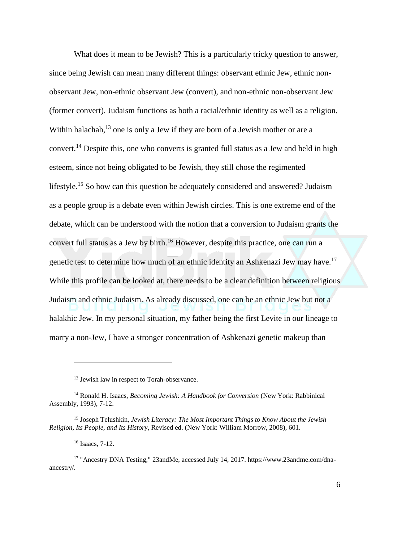What does it mean to be Jewish? This is a particularly tricky question to answer, since being Jewish can mean many different things: observant ethnic Jew, ethnic nonobservant Jew, non-ethnic observant Jew (convert), and non-ethnic non-observant Jew (former convert). Judaism functions as both a racial/ethnic identity as well as a religion. Within halachah, $^{13}$  one is only a Jew if they are born of a Jewish mother or are a convert.<sup>14</sup> Despite this, one who converts is granted full status as a Jew and held in high esteem, since not being obligated to be Jewish, they still chose the regimented lifestyle.<sup>15</sup> So how can this question be adequately considered and answered? Judaism as a people group is a debate even within Jewish circles. This is one extreme end of the debate, which can be understood with the notion that a conversion to Judaism grants the convert full status as a Jew by birth.<sup>16</sup> However, despite this practice, one can run a genetic test to determine how much of an ethnic identity an Ashkenazi Jew may have.<sup>17</sup> While this profile can be looked at, there needs to be a clear definition between religious Judaism and ethnic Judaism. As already discussed, one can be an ethnic Jew but not a halakhic Jew. In my personal situation, my father being the first Levite in our lineage to marry a non-Jew, I have a stronger concentration of Ashkenazi genetic makeup than

<sup>&</sup>lt;sup>13</sup> Jewish law in respect to Torah-observance.

<sup>14</sup> Ronald H. Isaacs, *Becoming Jewish: A Handbook for Conversion* (New York: Rabbinical Assembly, 1993), 7-12.

<sup>15</sup> Joseph Telushkin, *Jewish Literacy: The Most Important Things to Know About the Jewish Religion, Its People, and Its History*, Revised ed. (New York: William Morrow, 2008), 601.

<sup>16</sup> Isaacs, 7-12.

<sup>17</sup> "Ancestry DNA Testing," 23andMe, accessed July 14, 2017. https://www.23andme.com/dnaancestry/.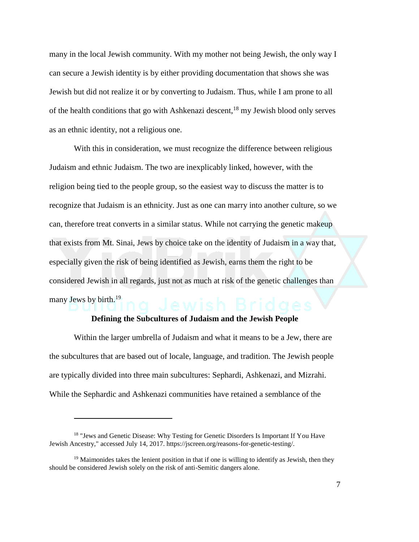many in the local Jewish community. With my mother not being Jewish, the only way I can secure a Jewish identity is by either providing documentation that shows she was Jewish but did not realize it or by converting to Judaism. Thus, while I am prone to all of the health conditions that go with Ashkenazi descent, $18 \text{ my}$  Jewish blood only serves as an ethnic identity, not a religious one.

With this in consideration, we must recognize the difference between religious Judaism and ethnic Judaism. The two are inexplicably linked, however, with the religion being tied to the people group, so the easiest way to discuss the matter is to recognize that Judaism is an ethnicity. Just as one can marry into another culture, so we can, therefore treat converts in a similar status. While not carrying the genetic makeup that exists from Mt. Sinai, Jews by choice take on the identity of Judaism in a way that, especially given the risk of being identified as Jewish, earns them the right to be considered Jewish in all regards, just not as much at risk of the genetic challenges than many Jews by birth.<sup>19</sup>

#### **Defining the Subcultures of Judaism and the Jewish People**

Within the larger umbrella of Judaism and what it means to be a Jew, there are the subcultures that are based out of locale, language, and tradition. The Jewish people are typically divided into three main subcultures: Sephardi, Ashkenazi, and Mizrahi. While the Sephardic and Ashkenazi communities have retained a semblance of the

<sup>&</sup>lt;sup>18</sup> "Jews and Genetic Disease: Why Testing for Genetic Disorders Is Important If You Have Jewish Ancestry," accessed July 14, 2017. https://jscreen.org/reasons-for-genetic-testing/.

 $19$  Maimonides takes the lenient position in that if one is willing to identify as Jewish, then they should be considered Jewish solely on the risk of anti-Semitic dangers alone.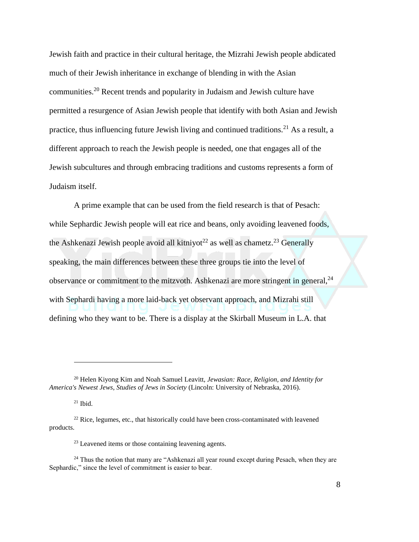Jewish faith and practice in their cultural heritage, the Mizrahi Jewish people abdicated much of their Jewish inheritance in exchange of blending in with the Asian communities.<sup>20</sup> Recent trends and popularity in Judaism and Jewish culture have permitted a resurgence of Asian Jewish people that identify with both Asian and Jewish practice, thus influencing future Jewish living and continued traditions.<sup>21</sup> As a result, a different approach to reach the Jewish people is needed, one that engages all of the Jewish subcultures and through embracing traditions and customs represents a form of Judaism itself.

A prime example that can be used from the field research is that of Pesach: while Sephardic Jewish people will eat rice and beans, only avoiding leavened foods, the Ashkenazi Jewish people avoid all kitniyot<sup>22</sup> as well as chametz.<sup>23</sup> Generally speaking, the main differences between these three groups tie into the level of observance or commitment to the mitzvoth. Ashkenazi are more stringent in general,<sup>24</sup> with Sephardi having a more laid-back yet observant approach, and Mizrahi still defining who they want to be. There is a display at the Skirball Museum in L.A. that

<sup>20</sup> Helen Kiyong Kim and Noah Samuel Leavitt, *Jewasian: Race, Religion, and Identity for America's Newest Jews*, *Studies of Jews in Society* (Lincoln: University of Nebraska, 2016).

 $21$  Ibid.

 $22$  Rice, legumes, etc., that historically could have been cross-contaminated with leavened products.

<sup>&</sup>lt;sup>23</sup> Leavened items or those containing leavening agents.

<sup>&</sup>lt;sup>24</sup> Thus the notion that many are "Ashkenazi all year round except during Pesach, when they are Sephardic," since the level of commitment is easier to bear.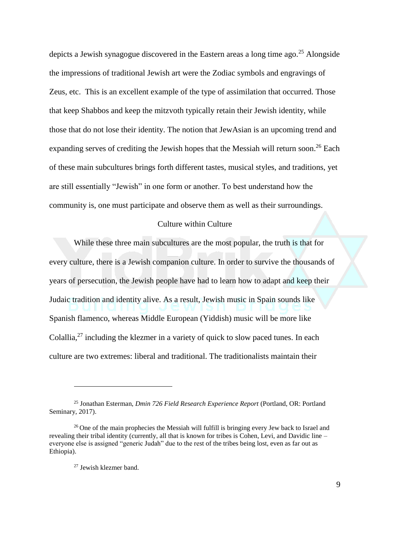depicts a Jewish synagogue discovered in the Eastern areas a long time ago.<sup>25</sup> Alongside the impressions of traditional Jewish art were the Zodiac symbols and engravings of Zeus, etc. This is an excellent example of the type of assimilation that occurred. Those that keep Shabbos and keep the mitzvoth typically retain their Jewish identity, while those that do not lose their identity. The notion that JewAsian is an upcoming trend and expanding serves of crediting the Jewish hopes that the Messiah will return soon.<sup>26</sup> Each of these main subcultures brings forth different tastes, musical styles, and traditions, yet are still essentially "Jewish" in one form or another. To best understand how the community is, one must participate and observe them as well as their surroundings.

#### Culture within Culture

While these three main subcultures are the most popular, the truth is that for every culture, there is a Jewish companion culture. In order to survive the thousands of years of persecution, the Jewish people have had to learn how to adapt and keep their Judaic tradition and identity alive. As a result, Jewish music in Spain sounds like Spanish flamenco, whereas Middle European (Yiddish) music will be more like Colallia, $^{27}$  including the klezmer in a variety of quick to slow paced tunes. In each culture are two extremes: liberal and traditional. The traditionalists maintain their

<sup>25</sup> Jonathan Esterman, *Dmin 726 Field Research Experience Report* (Portland, OR: Portland Seminary, 2017).

<sup>&</sup>lt;sup>26</sup> One of the main prophecies the Messiah will fulfill is bringing every Jew back to Israel and revealing their tribal identity (currently, all that is known for tribes is Cohen, Levi, and Davidic line – everyone else is assigned "generic Judah" due to the rest of the tribes being lost, even as far out as Ethiopia).

<sup>27</sup> Jewish klezmer band.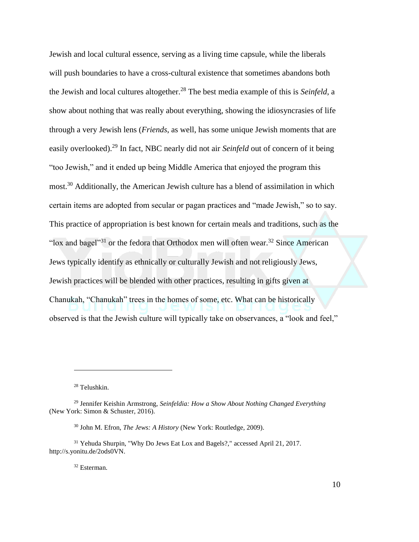Jewish and local cultural essence, serving as a living time capsule, while the liberals will push boundaries to have a cross-cultural existence that sometimes abandons both the Jewish and local cultures altogether.<sup>28</sup> The best media example of this is *Seinfeld*, a show about nothing that was really about everything, showing the idiosyncrasies of life through a very Jewish lens (*Friends*, as well, has some unique Jewish moments that are easily overlooked).<sup>29</sup> In fact, NBC nearly did not air *Seinfeld* out of concern of it being "too Jewish," and it ended up being Middle America that enjoyed the program this most.<sup>30</sup> Additionally, the American Jewish culture has a blend of assimilation in which certain items are adopted from secular or pagan practices and "made Jewish," so to say. This practice of appropriation is best known for certain meals and traditions, such as the "lox and bagel"<sup>31</sup> or the fedora that Orthodox men will often wear.<sup>32</sup> Since American Jews typically identify as ethnically or culturally Jewish and not religiously Jews, Jewish practices will be blended with other practices, resulting in gifts given at Chanukah, "Chanukah" trees in the homes of some, etc. What can be historically observed is that the Jewish culture will typically take on observances, a "look and feel,"

<sup>28</sup> Telushkin.

 $\overline{a}$ 

<sup>32</sup> Esterman.

<sup>29</sup> Jennifer Keishin Armstrong, *Seinfeldia: How a Show About Nothing Changed Everything* (New York: Simon & Schuster, 2016).

<sup>30</sup> John M. Efron, *The Jews: A History* (New York: Routledge, 2009).

<sup>31</sup> Yehuda Shurpin, "Why Do Jews Eat Lox and Bagels?," accessed April 21, 2017. http://s.yonitu.de/2ods0VN.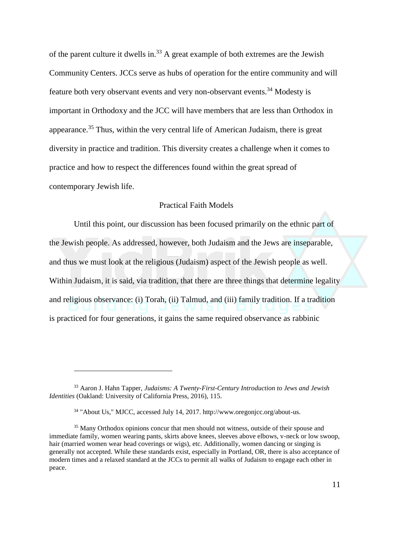of the parent culture it dwells in.<sup>33</sup> A great example of both extremes are the Jewish Community Centers. JCCs serve as hubs of operation for the entire community and will feature both very observant events and very non-observant events.<sup>34</sup> Modesty is important in Orthodoxy and the JCC will have members that are less than Orthodox in appearance.<sup>35</sup> Thus, within the very central life of American Judaism, there is great diversity in practice and tradition. This diversity creates a challenge when it comes to practice and how to respect the differences found within the great spread of contemporary Jewish life.

#### Practical Faith Models

Until this point, our discussion has been focused primarily on the ethnic part of the Jewish people. As addressed, however, both Judaism and the Jews are inseparable, and thus we must look at the religious (Judaism) aspect of the Jewish people as well. Within Judaism, it is said, via tradition, that there are three things that determine legality and religious observance: (i) Torah, (ii) Talmud, and (iii) family tradition. If a tradition is practiced for four generations, it gains the same required observance as rabbinic

<sup>33</sup> Aaron J. Hahn Tapper, *Judaisms: A Twenty-First-Century Introduction to Jews and Jewish Identities* (Oakland: University of California Press, 2016), 115.

<sup>34</sup> "About Us," MJCC, accessed July 14, 2017. http://www.oregonjcc.org/about-us.

<sup>&</sup>lt;sup>35</sup> Many Orthodox opinions concur that men should not witness, outside of their spouse and immediate family, women wearing pants, skirts above knees, sleeves above elbows, v-neck or low swoop, hair (married women wear head coverings or wigs), etc. Additionally, women dancing or singing is generally not accepted. While these standards exist, especially in Portland, OR, there is also acceptance of modern times and a relaxed standard at the JCCs to permit all walks of Judaism to engage each other in peace.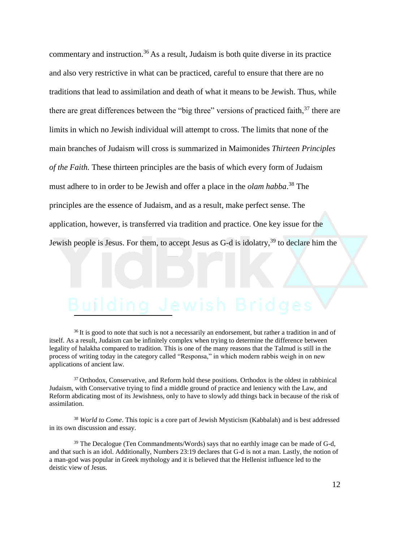commentary and instruction.<sup>36</sup> As a result, Judaism is both quite diverse in its practice and also very restrictive in what can be practiced, careful to ensure that there are no traditions that lead to assimilation and death of what it means to be Jewish. Thus, while there are great differences between the "big three" versions of practiced faith,  $37$  there are limits in which no Jewish individual will attempt to cross. The limits that none of the main branches of Judaism will cross is summarized in Maimonides *Thirteen Principles of the Faith.* These thirteen principles are the basis of which every form of Judaism must adhere to in order to be Jewish and offer a place in the *olam habba*. <sup>38</sup> The principles are the essence of Judaism, and as a result, make perfect sense. The application, however, is transferred via tradition and practice. One key issue for the Jewish people is Jesus. For them, to accept Jesus as  $G-d$  is idolatry,<sup>39</sup> to declare him the

# I

<sup>36</sup> It is good to note that such is not a necessarily an endorsement, but rather a tradition in and of itself. As a result, Judaism can be infinitely complex when trying to determine the difference between legality of halakha compared to tradition. This is one of the many reasons that the Talmud is still in the process of writing today in the category called "Responsa," in which modern rabbis weigh in on new applications of ancient law.

<sup>37</sup> Orthodox, Conservative, and Reform hold these positions. Orthodox is the oldest in rabbinical Judaism, with Conservative trying to find a middle ground of practice and leniency with the Law, and Reform abdicating most of its Jewishness, only to have to slowly add things back in because of the risk of assimilation.

<sup>38</sup> *World to Come*. This topic is a core part of Jewish Mysticism (Kabbalah) and is best addressed in its own discussion and essay.

 $39$  The Decalogue (Ten Commandments/Words) says that no earthly image can be made of G-d, and that such is an idol. Additionally, Numbers 23:19 declares that G-d is not a man. Lastly, the notion of a man-god was popular in Greek mythology and it is believed that the Hellenist influence led to the deistic view of Jesus.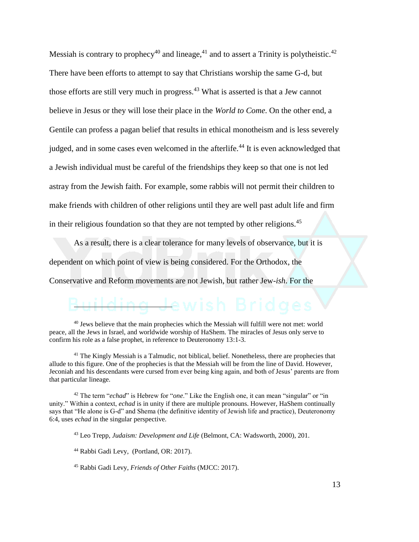Messiah is contrary to prophecy<sup>40</sup> and lineage,<sup>41</sup> and to assert a Trinity is polytheistic.<sup>42</sup> There have been efforts to attempt to say that Christians worship the same G-d, but those efforts are still very much in progress.<sup>43</sup> What is asserted is that a Jew cannot believe in Jesus or they will lose their place in the *World to Come*. On the other end, a Gentile can profess a pagan belief that results in ethical monotheism and is less severely judged, and in some cases even welcomed in the afterlife.<sup>44</sup> It is even acknowledged that a Jewish individual must be careful of the friendships they keep so that one is not led astray from the Jewish faith. For example, some rabbis will not permit their children to make friends with children of other religions until they are well past adult life and firm in their religious foundation so that they are not tempted by other religions.<sup>45</sup>

As a result, there is a clear tolerance for many levels of observance, but it is dependent on which point of view is being considered. For the Orthodox, the

Conservative and Reform movements are not Jewish, but rather Jew-*ish*. For the

#### <del>J</del>ewish Br į

<sup>40</sup> Jews believe that the main prophecies which the Messiah will fulfill were not met: world peace, all the Jews in Israel, and worldwide worship of HaShem. The miracles of Jesus only serve to confirm his role as a false prophet, in reference to Deuteronomy 13:1-3.

<sup>41</sup> The Kingly Messiah is a Talmudic, not biblical, belief. Nonetheless, there are prophecies that allude to this figure. One of the prophecies is that the Messiah will be from the line of David. However, Jeconiah and his descendants were cursed from ever being king again, and both of Jesus' parents are from that particular lineage.

<sup>42</sup> The term "*echad*" is Hebrew for "*one*." Like the English one, it can mean "singular" or "in unity." Within a context, *echad* is in unity if there are multiple pronouns. However, HaShem continually says that "He alone is G-d" and Shema (the definitive identity of Jewish life and practice), Deuteronomy 6:4, uses *echad* in the singular perspective.

<sup>43</sup> Leo Trepp, *Judaism: Development and Life* (Belmont, CA: Wadsworth, 2000), 201.

<sup>44</sup> Rabbi Gadi Levy, (Portland, OR: 2017).

<sup>45</sup> Rabbi Gadi Levy, *Friends of Other Faiths* (MJCC: 2017).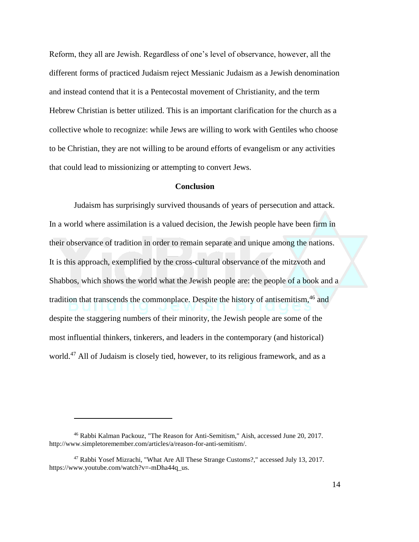Reform, they all are Jewish. Regardless of one's level of observance, however, all the different forms of practiced Judaism reject Messianic Judaism as a Jewish denomination and instead contend that it is a Pentecostal movement of Christianity, and the term Hebrew Christian is better utilized. This is an important clarification for the church as a collective whole to recognize: while Jews are willing to work with Gentiles who choose to be Christian, they are not willing to be around efforts of evangelism or any activities that could lead to missionizing or attempting to convert Jews.

#### **Conclusion**

Judaism has surprisingly survived thousands of years of persecution and attack. In a world where assimilation is a valued decision, the Jewish people have been firm in their observance of tradition in order to remain separate and unique among the nations. It is this approach, exemplified by the cross-cultural observance of the mitzvoth and Shabbos, which shows the world what the Jewish people are: the people of a book and a tradition that transcends the commonplace. Despite the history of antisemitism,<sup>46</sup> and despite the staggering numbers of their minority, the Jewish people are some of the most influential thinkers, tinkerers, and leaders in the contemporary (and historical) world.<sup>47</sup> All of Judaism is closely tied, however, to its religious framework, and as a

<sup>46</sup> Rabbi Kalman Packouz, "The Reason for Anti-Semitism," Aish, accessed June 20, 2017. http://www.simpletoremember.com/articles/a/reason-for-anti-semitism/.

<sup>47</sup> Rabbi Yosef Mizrachi, "What Are All These Strange Customs?," accessed July 13, 2017. https://www.youtube.com/watch?v=-mDha44q\_us.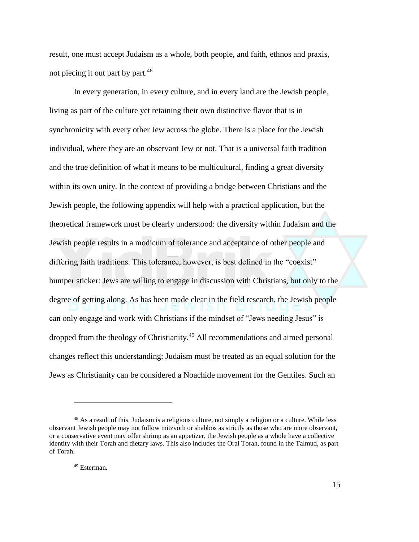result, one must accept Judaism as a whole, both people, and faith, ethnos and praxis, not piecing it out part by part.<sup>48</sup>

In every generation, in every culture, and in every land are the Jewish people, living as part of the culture yet retaining their own distinctive flavor that is in synchronicity with every other Jew across the globe. There is a place for the Jewish individual, where they are an observant Jew or not. That is a universal faith tradition and the true definition of what it means to be multicultural, finding a great diversity within its own unity. In the context of providing a bridge between Christians and the Jewish people, the following appendix will help with a practical application, but the theoretical framework must be clearly understood: the diversity within Judaism and the Jewish people results in a modicum of tolerance and acceptance of other people and differing faith traditions. This tolerance, however, is best defined in the "coexist" bumper sticker: Jews are willing to engage in discussion with Christians, but only to the degree of getting along. As has been made clear in the field research, the Jewish people can only engage and work with Christians if the mindset of "Jews needing Jesus" is dropped from the theology of Christianity.<sup>49</sup> All recommendations and aimed personal changes reflect this understanding: Judaism must be treated as an equal solution for the Jews as Christianity can be considered a Noachide movement for the Gentiles. Such an

<sup>48</sup> As a result of this, Judaism is a religious culture, not simply a religion or a culture. While less observant Jewish people may not follow mitzvoth or shabbos as strictly as those who are more observant, or a conservative event may offer shrimp as an appetizer, the Jewish people as a whole have a collective identity with their Torah and dietary laws. This also includes the Oral Torah, found in the Talmud, as part of Torah.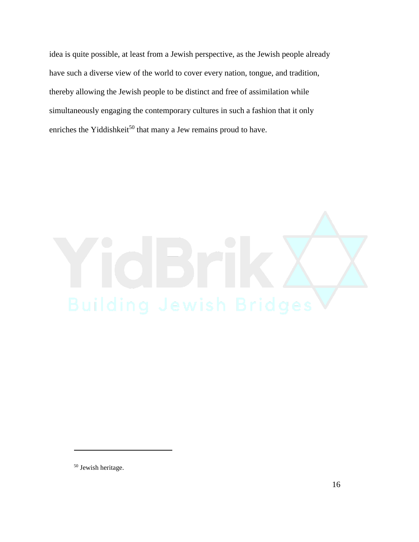idea is quite possible, at least from a Jewish perspective, as the Jewish people already have such a diverse view of the world to cover every nation, tongue, and tradition, thereby allowing the Jewish people to be distinct and free of assimilation while simultaneously engaging the contemporary cultures in such a fashion that it only enriches the Yiddishkeit<sup>50</sup> that many a Jew remains proud to have.



<sup>50</sup> Jewish heritage.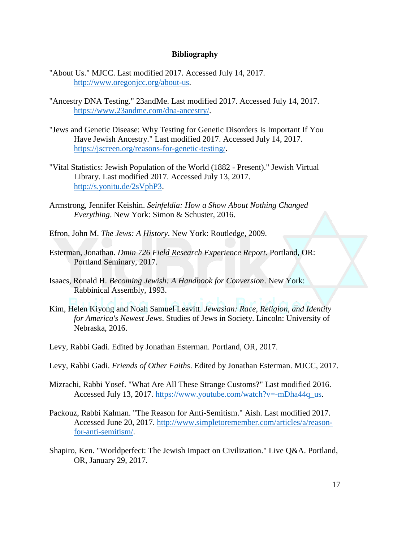### **Bibliography**

- "About Us." MJCC. Last modified 2017. Accessed July 14, 2017. [http://www.oregonjcc.org/about-us.](http://www.oregonjcc.org/about-us)
- "Ancestry DNA Testing." 23andMe. Last modified 2017. Accessed July 14, 2017. [https://www.23andme.com/dna-ancestry/.](https://www.23andme.com/dna-ancestry/)
- "Jews and Genetic Disease: Why Testing for Genetic Disorders Is Important If You Have Jewish Ancestry." Last modified 2017. Accessed July 14, 2017. [https://jscreen.org/reasons-for-genetic-testing/.](https://jscreen.org/reasons-for-genetic-testing/)
- "Vital Statistics: Jewish Population of the World (1882 Present)." Jewish Virtual Library. Last modified 2017. Accessed July 13, 2017. [http://s.yonitu.de/2sVphP3.](http://s.yonitu.de/2sVphP3)
- Armstrong, Jennifer Keishin. *Seinfeldia: How a Show About Nothing Changed Everything*. New York: Simon & Schuster, 2016.
- Efron, John M. *The Jews: A History*. New York: Routledge, 2009.
- Esterman, Jonathan. *Dmin 726 Field Research Experience Report*. Portland, OR: Portland Seminary, 2017.
- Isaacs, Ronald H. *Becoming Jewish: A Handbook for Conversion*. New York: Rabbinical Assembly, 1993.
- Kim, Helen Kiyong and Noah Samuel Leavitt. *Jewasian: Race, Religion, and Identity for America's Newest Jews*. Studies of Jews in Society. Lincoln: University of Nebraska, 2016.
- Levy, Rabbi Gadi. Edited by Jonathan Esterman. Portland, OR, 2017.
- Levy, Rabbi Gadi. *Friends of Other Faiths*. Edited by Jonathan Esterman. MJCC, 2017.
- Mizrachi, Rabbi Yosef. "What Are All These Strange Customs?" Last modified 2016. Accessed July 13, 2017. [https://www.youtube.com/watch?v=-mDha44q\\_us.](https://www.youtube.com/watch?v=-mDha44q_us)
- Packouz, Rabbi Kalman. "The Reason for Anti-Semitism." Aish. Last modified 2017. Accessed June 20, 2017. [http://www.simpletoremember.com/articles/a/reason](http://www.simpletoremember.com/articles/a/reason-for-anti-semitism/)[for-anti-semitism/.](http://www.simpletoremember.com/articles/a/reason-for-anti-semitism/)
- Shapiro, Ken. "Worldperfect: The Jewish Impact on Civilization." Live Q&A. Portland, OR, January 29, 2017.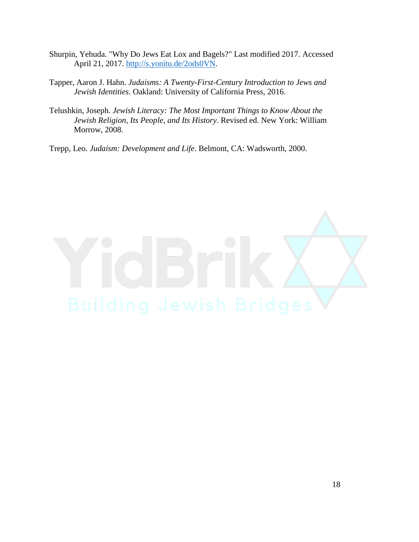- Shurpin, Yehuda. "Why Do Jews Eat Lox and Bagels?" Last modified 2017. Accessed April 21, 2017. [http://s.yonitu.de/2ods0VN.](http://s.yonitu.de/2ods0VN)
- Tapper, Aaron J. Hahn. *Judaisms: A Twenty-First-Century Introduction to Jews and Jewish Identities*. Oakland: University of California Press, 2016.
- Telushkin, Joseph. *Jewish Literacy: The Most Important Things to Know About the Jewish Religion, Its People, and Its History*. Revised ed. New York: William Morrow, 2008.

Trepp, Leo. *Judaism: Development and Life*. Belmont, CA: Wadsworth, 2000.

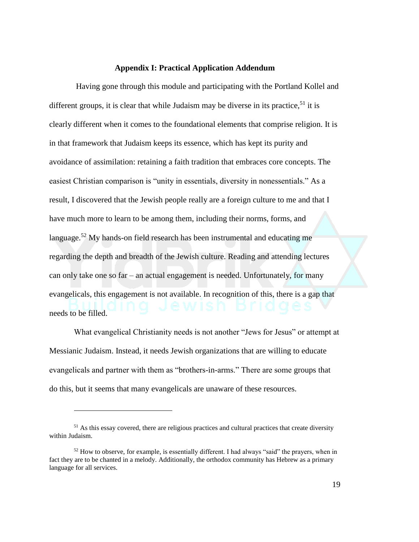#### **Appendix I: Practical Application Addendum**

Having gone through this module and participating with the Portland Kollel and different groups, it is clear that while Judaism may be diverse in its practice,  $51$  it is clearly different when it comes to the foundational elements that comprise religion. It is in that framework that Judaism keeps its essence, which has kept its purity and avoidance of assimilation: retaining a faith tradition that embraces core concepts. The easiest Christian comparison is "unity in essentials, diversity in nonessentials." As a result, I discovered that the Jewish people really are a foreign culture to me and that I have much more to learn to be among them, including their norms, forms, and language.<sup>52</sup> My hands-on field research has been instrumental and educating me regarding the depth and breadth of the Jewish culture. Reading and attending lectures can only take one so far – an actual engagement is needed. Unfortunately, for many evangelicals, this engagement is not available. In recognition of this, there is a gap that needs to be filled.

What evangelical Christianity needs is not another "Jews for Jesus" or attempt at Messianic Judaism. Instead, it needs Jewish organizations that are willing to educate evangelicals and partner with them as "brothers-in-arms." There are some groups that do this, but it seems that many evangelicals are unaware of these resources.

<sup>&</sup>lt;sup>51</sup> As this essay covered, there are religious practices and cultural practices that create diversity within Judaism.

<sup>&</sup>lt;sup>52</sup> How to observe, for example, is essentially different. I had always "said" the prayers, when in fact they are to be chanted in a melody. Additionally, the orthodox community has Hebrew as a primary language for all services.